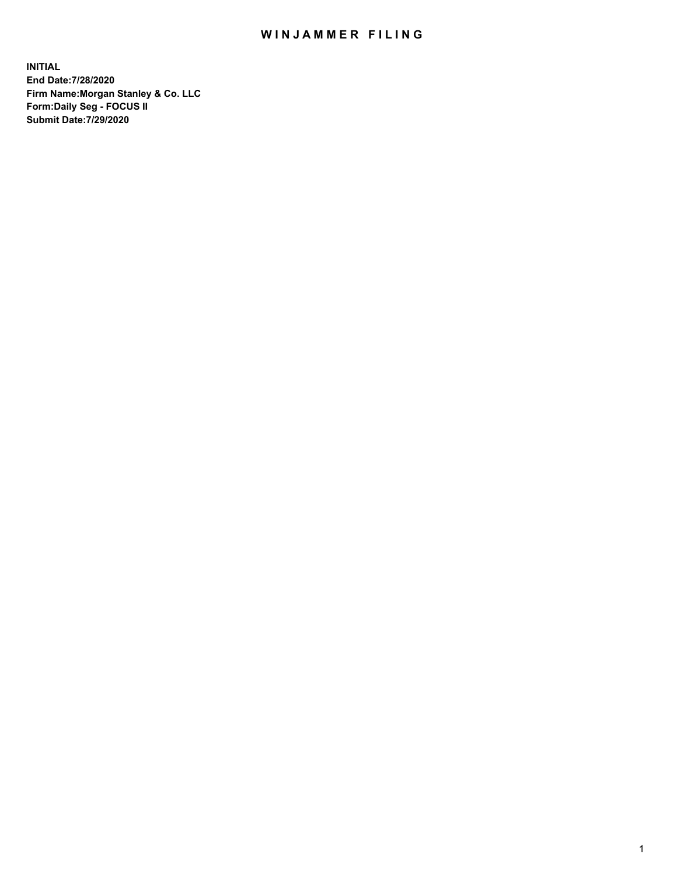## WIN JAMMER FILING

**INITIAL End Date:7/28/2020 Firm Name:Morgan Stanley & Co. LLC Form:Daily Seg - FOCUS II Submit Date:7/29/2020**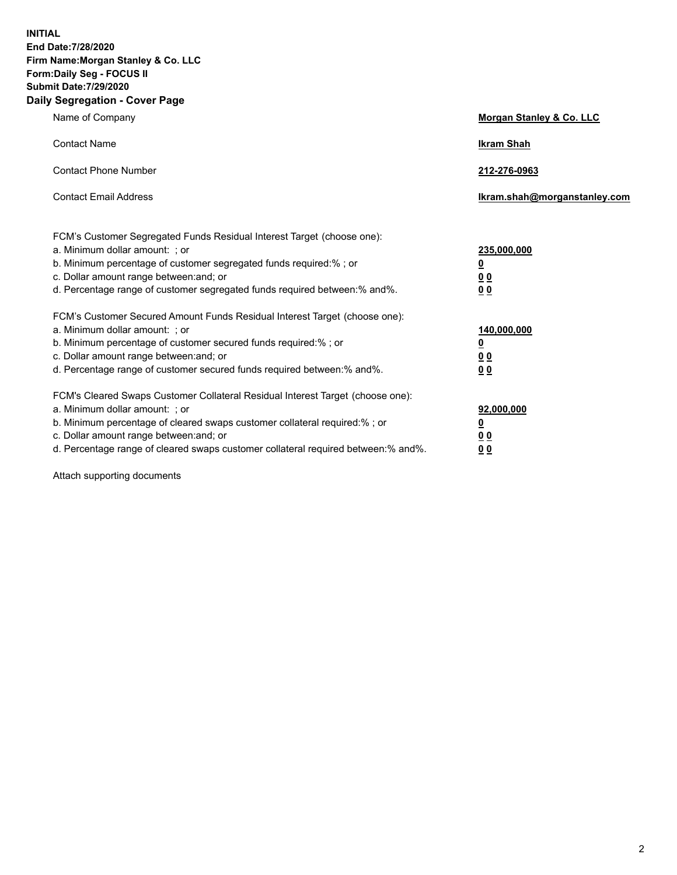**INITIAL End Date:7/28/2020 Firm Name:Morgan Stanley & Co. LLC Form:Daily Seg - FOCUS II Submit Date:7/29/2020 Daily Segregation - Cover Page**

| Name of Company                                                                                                                                                                                                                                                                                                                | Morgan Stanley & Co. LLC                               |
|--------------------------------------------------------------------------------------------------------------------------------------------------------------------------------------------------------------------------------------------------------------------------------------------------------------------------------|--------------------------------------------------------|
| <b>Contact Name</b>                                                                                                                                                                                                                                                                                                            | <b>Ikram Shah</b>                                      |
| <b>Contact Phone Number</b>                                                                                                                                                                                                                                                                                                    | 212-276-0963                                           |
| <b>Contact Email Address</b>                                                                                                                                                                                                                                                                                                   | Ikram.shah@morganstanley.com                           |
| FCM's Customer Segregated Funds Residual Interest Target (choose one):<br>a. Minimum dollar amount: ; or<br>b. Minimum percentage of customer segregated funds required:% ; or<br>c. Dollar amount range between: and; or<br>d. Percentage range of customer segregated funds required between:% and%.                         | 235,000,000<br><u>0</u><br><u>00</u><br>0 <sub>0</sub> |
| FCM's Customer Secured Amount Funds Residual Interest Target (choose one):<br>a. Minimum dollar amount: ; or<br>b. Minimum percentage of customer secured funds required:% ; or<br>c. Dollar amount range between: and; or<br>d. Percentage range of customer secured funds required between:% and%.                           | 140,000,000<br><u>0</u><br><u>00</u><br>0 <sub>0</sub> |
| FCM's Cleared Swaps Customer Collateral Residual Interest Target (choose one):<br>a. Minimum dollar amount: ; or<br>b. Minimum percentage of cleared swaps customer collateral required:% ; or<br>c. Dollar amount range between: and; or<br>d. Percentage range of cleared swaps customer collateral required between:% and%. | 92,000,000<br><u>0</u><br><u>00</u><br>00              |

Attach supporting documents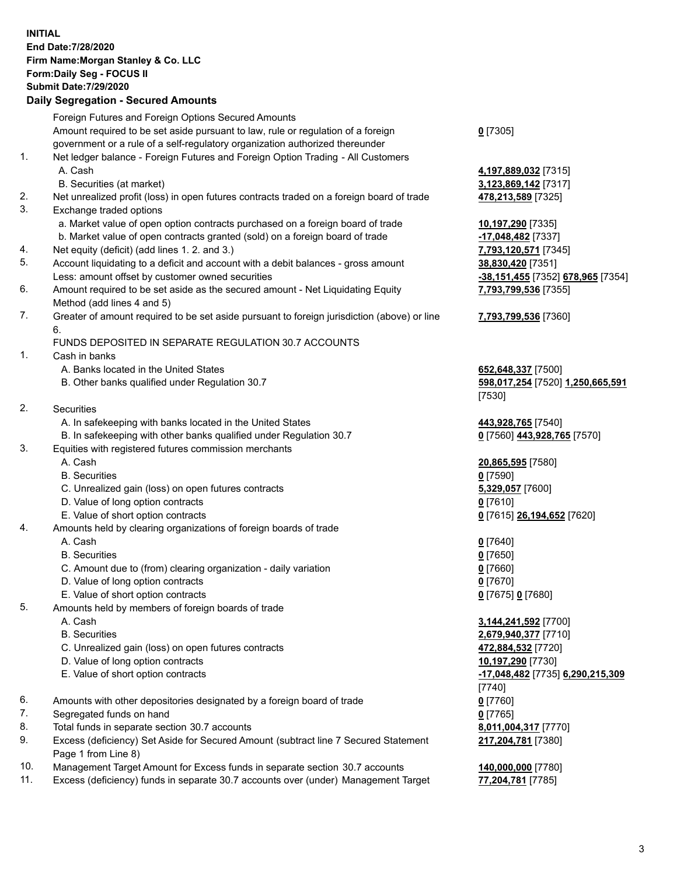## **INITIAL End Date:7/28/2020 Firm Name:Morgan Stanley & Co. LLC Form:Daily Seg - FOCUS II Submit Date:7/29/2020**

## **Daily Segregation - Secured Amounts**

|     | Foreign Futures and Foreign Options Secured Amounts                                         |                                   |
|-----|---------------------------------------------------------------------------------------------|-----------------------------------|
|     | Amount required to be set aside pursuant to law, rule or regulation of a foreign            | $0$ [7305]                        |
|     | government or a rule of a self-regulatory organization authorized thereunder                |                                   |
| 1.  | Net ledger balance - Foreign Futures and Foreign Option Trading - All Customers             |                                   |
|     | A. Cash                                                                                     | 4,197,889,032 [7315]              |
|     | B. Securities (at market)                                                                   | 3,123,869,142 [7317]              |
| 2.  | Net unrealized profit (loss) in open futures contracts traded on a foreign board of trade   | 478,213,589 [7325]                |
| 3.  | Exchange traded options                                                                     |                                   |
|     | a. Market value of open option contracts purchased on a foreign board of trade              | 10,197,290 [7335]                 |
|     | b. Market value of open contracts granted (sold) on a foreign board of trade                | -17,048,482 [7337]                |
| 4.  | Net equity (deficit) (add lines 1.2. and 3.)                                                | 7,793,120,571 [7345]              |
| 5.  | Account liquidating to a deficit and account with a debit balances - gross amount           | 38,830,420 [7351]                 |
|     | Less: amount offset by customer owned securities                                            | -38,151,455 [7352] 678,965 [7354] |
| 6.  | Amount required to be set aside as the secured amount - Net Liquidating Equity              | 7,793,799,536 [7355]              |
|     | Method (add lines 4 and 5)                                                                  |                                   |
| 7.  | Greater of amount required to be set aside pursuant to foreign jurisdiction (above) or line | 7,793,799,536 [7360]              |
|     | 6.                                                                                          |                                   |
|     | FUNDS DEPOSITED IN SEPARATE REGULATION 30.7 ACCOUNTS                                        |                                   |
| 1.  | Cash in banks                                                                               |                                   |
|     | A. Banks located in the United States                                                       | 652,648,337 [7500]                |
|     | B. Other banks qualified under Regulation 30.7                                              | 598,017,254 [7520] 1,250,665,591  |
|     |                                                                                             | $[7530]$                          |
| 2.  | Securities                                                                                  |                                   |
|     | A. In safekeeping with banks located in the United States                                   | 443,928,765 [7540]                |
|     | B. In safekeeping with other banks qualified under Regulation 30.7                          | 0 [7560] 443,928,765 [7570]       |
| 3.  | Equities with registered futures commission merchants                                       |                                   |
|     | A. Cash                                                                                     | 20,865,595 [7580]                 |
|     | <b>B.</b> Securities                                                                        | $0$ [7590]                        |
|     | C. Unrealized gain (loss) on open futures contracts                                         | 5,329,057 [7600]                  |
|     | D. Value of long option contracts                                                           | $0$ [7610]                        |
|     | E. Value of short option contracts                                                          | 0 [7615] 26,194,652 [7620]        |
| 4.  | Amounts held by clearing organizations of foreign boards of trade                           |                                   |
|     | A. Cash                                                                                     | $Q$ [7640]                        |
|     | <b>B.</b> Securities                                                                        | $0$ [7650]                        |
|     | C. Amount due to (from) clearing organization - daily variation                             | $0$ [7660]                        |
|     | D. Value of long option contracts                                                           | $0$ [7670]                        |
|     | E. Value of short option contracts                                                          | 0 [7675] 0 [7680]                 |
| 5.  | Amounts held by members of foreign boards of trade                                          |                                   |
|     | A. Cash                                                                                     | 3,144,241,592 [7700]              |
|     | <b>B.</b> Securities                                                                        | 2,679,940,377 [7710]              |
|     | C. Unrealized gain (loss) on open futures contracts                                         | 472,884,532 [7720]                |
|     | D. Value of long option contracts                                                           | 10,197,290 [7730]                 |
|     | E. Value of short option contracts                                                          | -17,048,482 [7735] 6,290,215,309  |
|     |                                                                                             | [7740]                            |
| 6.  | Amounts with other depositories designated by a foreign board of trade                      | $0$ [7760]                        |
| 7.  | Segregated funds on hand                                                                    | $0$ [7765]                        |
| 8.  | Total funds in separate section 30.7 accounts                                               | 8,011,004,317 [7770]              |
| 9.  | Excess (deficiency) Set Aside for Secured Amount (subtract line 7 Secured Statement         | 217,204,781 [7380]                |
|     | Page 1 from Line 8)                                                                         |                                   |
| 10. | Management Target Amount for Excess funds in separate section 30.7 accounts                 | 140,000,000 [7780]                |

11. Excess (deficiency) funds in separate 30.7 accounts over (under) Management Target **77,204,781** [7785]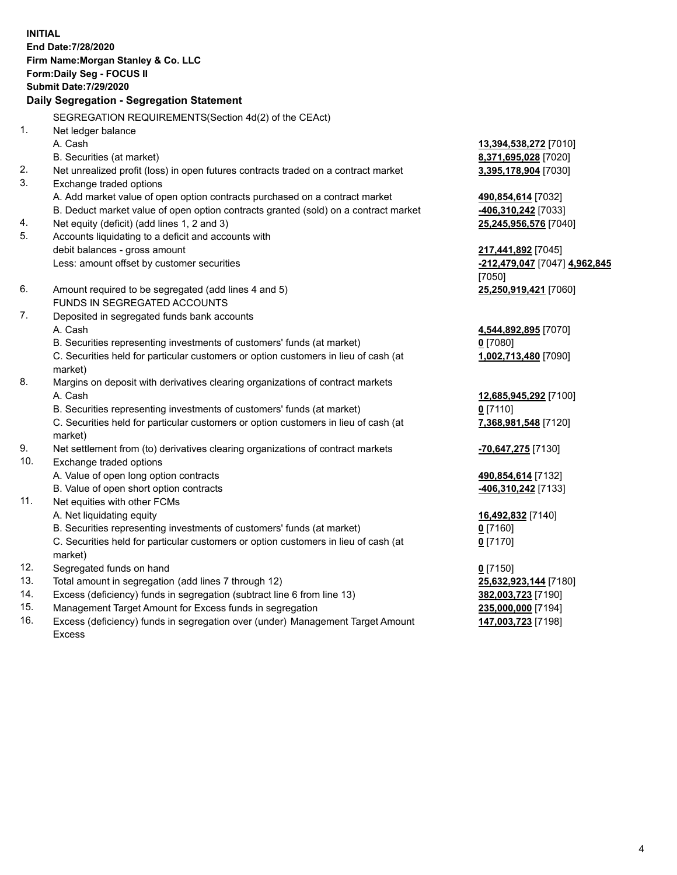**INITIAL End Date:7/28/2020 Firm Name:Morgan Stanley & Co. LLC Form:Daily Seg - FOCUS II Submit Date:7/29/2020 Daily Segregation - Segregation Statement** SEGREGATION REQUIREMENTS(Section 4d(2) of the CEAct) 1. Net ledger balance A. Cash **13,394,538,272** [7010] B. Securities (at market) **8,371,695,028** [7020] 2. Net unrealized profit (loss) in open futures contracts traded on a contract market **3,395,178,904** [7030] 3. Exchange traded options A. Add market value of open option contracts purchased on a contract market **490,854,614** [7032] B. Deduct market value of open option contracts granted (sold) on a contract market **-406,310,242** [7033] 4. Net equity (deficit) (add lines 1, 2 and 3) **25,245,956,576** [7040] 5. Accounts liquidating to a deficit and accounts with debit balances - gross amount **217,441,892** [7045] Less: amount offset by customer securities **-212,479,047** [7047] **4,962,845** [7050] 6. Amount required to be segregated (add lines 4 and 5) **25,250,919,421** [7060] FUNDS IN SEGREGATED ACCOUNTS 7. Deposited in segregated funds bank accounts A. Cash **4,544,892,895** [7070] B. Securities representing investments of customers' funds (at market) **0** [7080] C. Securities held for particular customers or option customers in lieu of cash (at market) **1,002,713,480** [7090] 8. Margins on deposit with derivatives clearing organizations of contract markets A. Cash **12,685,945,292** [7100] B. Securities representing investments of customers' funds (at market) **0** [7110] C. Securities held for particular customers or option customers in lieu of cash (at market) **7,368,981,548** [7120] 9. Net settlement from (to) derivatives clearing organizations of contract markets **-70,647,275** [7130] 10. Exchange traded options A. Value of open long option contracts **490,854,614** [7132] B. Value of open short option contracts **-406,310,242** [7133] 11. Net equities with other FCMs A. Net liquidating equity **16,492,832** [7140] B. Securities representing investments of customers' funds (at market) **0** [7160] C. Securities held for particular customers or option customers in lieu of cash (at market) **0** [7170] 12. Segregated funds on hand **0** [7150] 13. Total amount in segregation (add lines 7 through 12) **25,632,923,144** [7180] 14. Excess (deficiency) funds in segregation (subtract line 6 from line 13) **382,003,723** [7190] 15. Management Target Amount for Excess funds in segregation **235,000,000** [7194]

- 
- 16. Excess (deficiency) funds in segregation over (under) Management Target Amount Excess

**147,003,723** [7198]